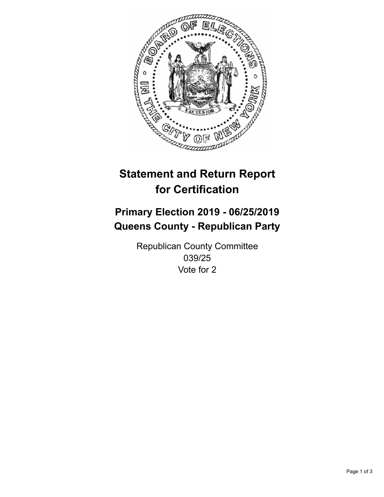

## **Statement and Return Report for Certification**

## **Primary Election 2019 - 06/25/2019 Queens County - Republican Party**

Republican County Committee 039/25 Vote for 2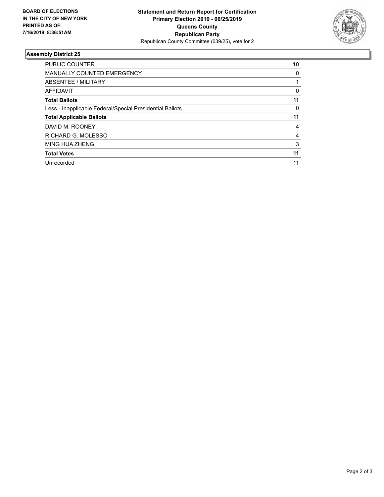

## **Assembly District 25**

| <b>PUBLIC COUNTER</b>                                    | 10 |
|----------------------------------------------------------|----|
| <b>MANUALLY COUNTED EMERGENCY</b>                        | 0  |
| ABSENTEE / MILITARY                                      |    |
| AFFIDAVIT                                                | 0  |
| <b>Total Ballots</b>                                     | 11 |
| Less - Inapplicable Federal/Special Presidential Ballots | 0  |
| <b>Total Applicable Ballots</b>                          | 11 |
| DAVID M. ROONEY                                          | 4  |
| RICHARD G. MOLESSO                                       | 4  |
| <b>MING HUA ZHENG</b>                                    | 3  |
| <b>Total Votes</b>                                       | 11 |
| Unrecorded                                               | 11 |